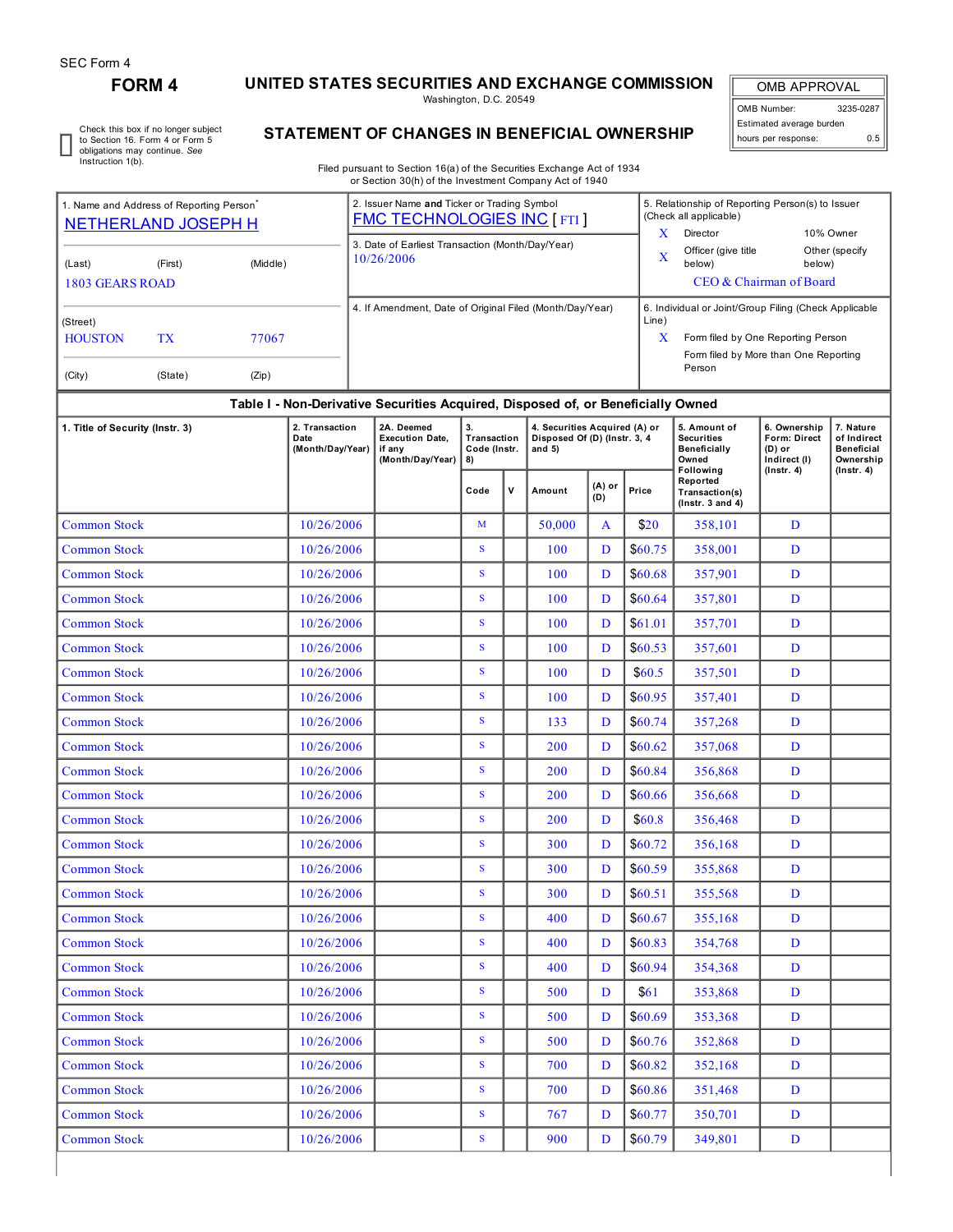## **FORM 4 UNITED STATES SECURITIES AND EXCHANGE COMMISSION**

Washington, D.C. 20549

OMB APPROVAL OMB Number: 3235-0287 Estimated average burden hours per response: 0.5

ı

Check this box if no longer subject to Section 16. Form 4 or Form 5 obligations may continue. *See* Instruction 1(b).

## **STATEMENT OF CHANGES IN BENEFICIAL OWNERSHIP**

Filed pursuant to Section 16(a) of the Securities Exchange Act of 1934 or Section 30(h) of the Investment Company Act of 1940

| 1. Name and Address of Reporting Person <sup>®</sup><br><b>NETHERLAND JOSEPH H</b> |  |            |                                            | 2. Issuer Name and Ticker or Trading Symbol<br><b>FMC TECHNOLOGIES INC [ FTI ]</b> |                                                                    |                                         |     |                                                                           |                |                                         | 5. Relationship of Reporting Person(s) to Issuer<br>(Check all applicable)<br>X |                                                        |                                                            |  |  |
|------------------------------------------------------------------------------------|--|------------|--------------------------------------------|------------------------------------------------------------------------------------|--------------------------------------------------------------------|-----------------------------------------|-----|---------------------------------------------------------------------------|----------------|-----------------------------------------|---------------------------------------------------------------------------------|--------------------------------------------------------|------------------------------------------------------------|--|--|
|                                                                                    |  |            |                                            | 3. Date of Earliest Transaction (Month/Day/Year)                                   |                                                                    |                                         |     |                                                                           |                |                                         | Director<br>10% Owner                                                           |                                                        |                                                            |  |  |
| (Middle)<br>(Last)<br>(First)                                                      |  |            |                                            | 10/26/2006                                                                         |                                                                    |                                         |     |                                                                           |                |                                         | Officer (give title<br>$\mathbf X$<br>below)                                    | Other (specify<br>below)                               |                                                            |  |  |
| <b>1803 GEARS ROAD</b>                                                             |  |            |                                            |                                                                                    |                                                                    |                                         |     |                                                                           |                | CEO & Chairman of Board                 |                                                                                 |                                                        |                                                            |  |  |
|                                                                                    |  |            |                                            | 4. If Amendment, Date of Original Filed (Month/Day/Year)                           |                                                                    |                                         |     |                                                                           |                |                                         | 6. Individual or Joint/Group Filing (Check Applicable<br>Line)                  |                                                        |                                                            |  |  |
| (Street)<br><b>HOUSTON</b><br>TX<br>77067                                          |  |            |                                            |                                                                                    |                                                                    |                                         |     |                                                                           |                | X<br>Form filed by One Reporting Person |                                                                                 |                                                        |                                                            |  |  |
|                                                                                    |  |            |                                            |                                                                                    |                                                                    |                                         |     |                                                                           |                |                                         | Form filed by More than One Reporting<br>Person                                 |                                                        |                                                            |  |  |
| (City)<br>(State)<br>(Zip)                                                         |  |            |                                            |                                                                                    |                                                                    |                                         |     |                                                                           |                |                                         |                                                                                 |                                                        |                                                            |  |  |
| Table I - Non-Derivative Securities Acquired, Disposed of, or Beneficially Owned   |  |            |                                            |                                                                                    |                                                                    |                                         |     |                                                                           |                |                                         |                                                                                 |                                                        |                                                            |  |  |
| 1. Title of Security (Instr. 3)                                                    |  |            | 2. Transaction<br>Date<br>(Month/Day/Year) |                                                                                    | 2A. Deemed<br><b>Execution Date,</b><br>if any<br>(Month/Day/Year) | 3.<br>Transaction<br>Code (Instr.<br>8) |     | 4. Securities Acquired (A) or<br>Disposed Of (D) (Instr. 3, 4<br>and $5)$ |                |                                         | 5. Amount of<br><b>Securities</b><br><b>Beneficially</b><br>Owned               | 6. Ownership<br>Form: Direct<br>(D) or<br>Indirect (I) | 7. Nature<br>of Indirect<br><b>Beneficial</b><br>Ownership |  |  |
|                                                                                    |  |            |                                            |                                                                                    |                                                                    | Code                                    | v   | Amount                                                                    | (A) or<br>(D)  | Price                                   | Following<br>Reported<br>Transaction(s)<br>$($ Instr. 3 and 4 $)$               | $($ Instr. 4 $)$                                       | $($ Instr. 4 $)$                                           |  |  |
| <b>Common Stock</b>                                                                |  |            | 10/26/2006                                 |                                                                                    |                                                                    | M                                       |     | 50,000                                                                    | A              | \$20                                    | 358,101                                                                         | D                                                      |                                                            |  |  |
| <b>Common Stock</b>                                                                |  |            | 10/26/2006                                 |                                                                                    |                                                                    | $\mathbf{s}$                            |     | 100                                                                       | D              | \$60.75                                 | 358,001                                                                         | D                                                      |                                                            |  |  |
| <b>Common Stock</b>                                                                |  |            | 10/26/2006                                 |                                                                                    |                                                                    | S                                       |     | 100                                                                       | D              | \$60.68                                 | 357,901                                                                         | D                                                      |                                                            |  |  |
| <b>Common Stock</b>                                                                |  |            | 10/26/2006                                 |                                                                                    |                                                                    | S                                       |     | 100                                                                       | D              | \$60.64                                 | 357,801                                                                         | D                                                      |                                                            |  |  |
| <b>Common Stock</b>                                                                |  |            | 10/26/2006                                 |                                                                                    |                                                                    | S                                       |     | 100                                                                       | D              | \$61.01                                 | 357,701                                                                         | D                                                      |                                                            |  |  |
| <b>Common Stock</b>                                                                |  |            | 10/26/2006                                 |                                                                                    |                                                                    | $\mathbf{s}$                            |     | 100                                                                       | D              | \$60.53                                 | 357,601                                                                         | D                                                      |                                                            |  |  |
| <b>Common Stock</b>                                                                |  |            | 10/26/2006                                 |                                                                                    |                                                                    | ${\bf S}$                               |     | 100                                                                       | D              | \$60.5\$                                | 357,501                                                                         | D                                                      |                                                            |  |  |
| <b>Common Stock</b>                                                                |  |            | 10/26/2006                                 |                                                                                    |                                                                    | ${\bf S}$                               |     | 100                                                                       | D              | \$60.95                                 | 357,401                                                                         | D                                                      |                                                            |  |  |
| <b>Common Stock</b>                                                                |  |            | 10/26/2006                                 |                                                                                    |                                                                    | ${\bf S}$                               |     | 133                                                                       | D              | \$60.74                                 | 357,268                                                                         | D                                                      |                                                            |  |  |
| <b>Common Stock</b>                                                                |  |            | 10/26/2006                                 |                                                                                    |                                                                    | ${\bf S}$                               |     | 200                                                                       | D              | \$60.62                                 | 357,068                                                                         | D                                                      |                                                            |  |  |
| <b>Common Stock</b>                                                                |  |            | 10/26/2006                                 |                                                                                    |                                                                    | S                                       |     | 200                                                                       | D              | \$60.84                                 | 356,868                                                                         | D                                                      |                                                            |  |  |
| <b>Common Stock</b>                                                                |  |            | 10/26/2006                                 |                                                                                    |                                                                    | S                                       |     | 200                                                                       | D              | \$60.66                                 | 356,668                                                                         | D                                                      |                                                            |  |  |
| <b>Common Stock</b>                                                                |  |            | 10/26/2006                                 |                                                                                    |                                                                    | ${\bf S}$                               |     | 200                                                                       | D              | \$60.8\$                                | 356,468                                                                         | D                                                      |                                                            |  |  |
| <b>Common Stock</b>                                                                |  |            | 10/26/2006                                 |                                                                                    |                                                                    | ${\bf S}$                               |     | 300                                                                       | D              | \$60.72                                 | 356,168                                                                         | D                                                      |                                                            |  |  |
| <b>Common Stock</b>                                                                |  |            | 10/26/2006                                 |                                                                                    |                                                                    | ${\bf S}$                               |     | 300                                                                       | D              | \$60.59                                 | 355,868                                                                         | D                                                      |                                                            |  |  |
| Common Stock                                                                       |  |            | 10/26/2006                                 |                                                                                    |                                                                    | ${\bf S}$                               |     | 300                                                                       | $\overline{D}$ | \$60.51                                 | 355,568                                                                         | D                                                      |                                                            |  |  |
| <b>Common Stock</b>                                                                |  |            | 10/26/2006                                 |                                                                                    |                                                                    | S                                       |     | 400                                                                       | D              | \$60.67                                 | 355,168                                                                         | D                                                      |                                                            |  |  |
| <b>Common Stock</b>                                                                |  |            | 10/26/2006                                 |                                                                                    |                                                                    | ${\bf S}$                               |     | 400                                                                       | D              | \$60.83                                 | 354,768                                                                         | D                                                      |                                                            |  |  |
| <b>Common Stock</b>                                                                |  | 10/26/2006 |                                            |                                                                                    | ${\bf S}$                                                          |                                         | 400 | D                                                                         | \$60.94        | 354,368                                 | D                                                                               |                                                        |                                                            |  |  |
| <b>Common Stock</b>                                                                |  | 10/26/2006 |                                            |                                                                                    | S                                                                  |                                         | 500 | $\mathbf{D}$                                                              | \$61           | 353,868                                 | D                                                                               |                                                        |                                                            |  |  |
| <b>Common Stock</b>                                                                |  |            | 10/26/2006                                 |                                                                                    |                                                                    | ${\bf S}$                               |     | 500                                                                       | D              | \$60.69                                 | 353,368                                                                         | D                                                      |                                                            |  |  |
| <b>Common Stock</b>                                                                |  |            | 10/26/2006                                 |                                                                                    |                                                                    | S                                       |     | 500                                                                       | D              | \$60.76                                 | 352,868                                                                         | D                                                      |                                                            |  |  |
| <b>Common Stock</b>                                                                |  |            | 10/26/2006                                 |                                                                                    |                                                                    | S                                       |     | 700                                                                       | D              | \$60.82                                 | 352,168                                                                         | D                                                      |                                                            |  |  |
| <b>Common Stock</b>                                                                |  |            | 10/26/2006                                 |                                                                                    |                                                                    | ${\bf S}$                               |     | 700                                                                       | D              | \$60.86                                 | 351,468                                                                         | D                                                      |                                                            |  |  |
| <b>Common Stock</b>                                                                |  |            | 10/26/2006                                 |                                                                                    |                                                                    | ${\bf S}$                               |     | 767                                                                       | D              | \$60.77                                 | 350,701                                                                         | $\mathbf D$                                            |                                                            |  |  |

Common Stock 10/26/2006 S 900 D \$60.79 349,801 D